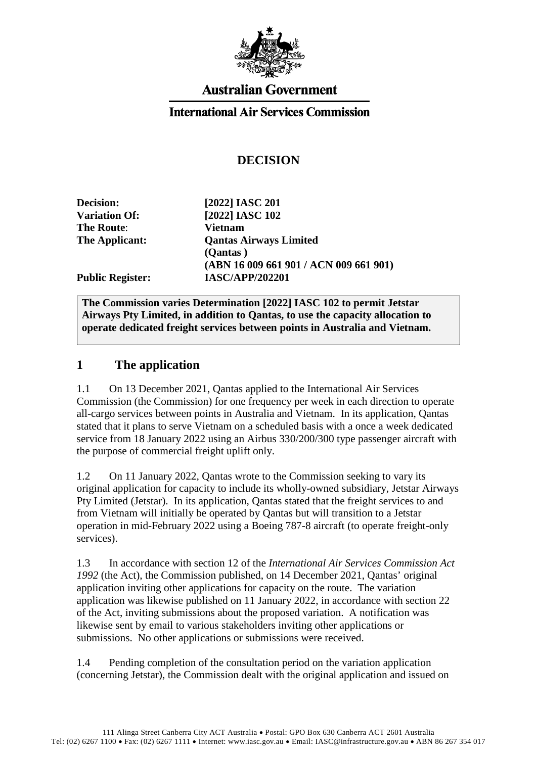

# **Australian Government**

#### **International Air Services Commission**

### **DECISION**

| <b>Decision:</b>        | [2022] IASC 201                        |
|-------------------------|----------------------------------------|
| <b>Variation Of:</b>    | [2022] IASC 102                        |
| <b>The Route:</b>       | <b>Vietnam</b>                         |
| The Applicant:          | <b>Qantas Airways Limited</b>          |
|                         | (Qantas)                               |
|                         | (ABN 16 009 661 901 / ACN 009 661 901) |
| <b>Public Register:</b> | <b>IASC/APP/202201</b>                 |
|                         |                                        |

**The Commission varies Determination [2022] IASC 102 to permit Jetstar Airways Pty Limited, in addition to Qantas, to use the capacity allocation to operate dedicated freight services between points in Australia and Vietnam.** 

#### **1 The application**

1.1 On 13 December 2021, Qantas applied to the International Air Services Commission (the Commission) for one frequency per week in each direction to operate all-cargo services between points in Australia and Vietnam. In its application, Qantas stated that it plans to serve Vietnam on a scheduled basis with a once a week dedicated service from 18 January 2022 using an Airbus 330/200/300 type passenger aircraft with the purpose of commercial freight uplift only.

1.2 On 11 January 2022, Qantas wrote to the Commission seeking to vary its original application for capacity to include its wholly-owned subsidiary, Jetstar Airways Pty Limited (Jetstar). In its application, Qantas stated that the freight services to and from Vietnam will initially be operated by Qantas but will transition to a Jetstar operation in mid-February 2022 using a Boeing 787-8 aircraft (to operate freight-only services).

1.3 In accordance with section 12 of the *International Air Services Commission Act 1992* (the Act), the Commission published, on 14 December 2021, Qantas' original application inviting other applications for capacity on the route. The variation application was likewise published on 11 January 2022, in accordance with section 22 of the Act, inviting submissions about the proposed variation. A notification was likewise sent by email to various stakeholders inviting other applications or submissions. No other applications or submissions were received.

1.4 Pending completion of the consultation period on the variation application (concerning Jetstar), the Commission dealt with the original application and issued on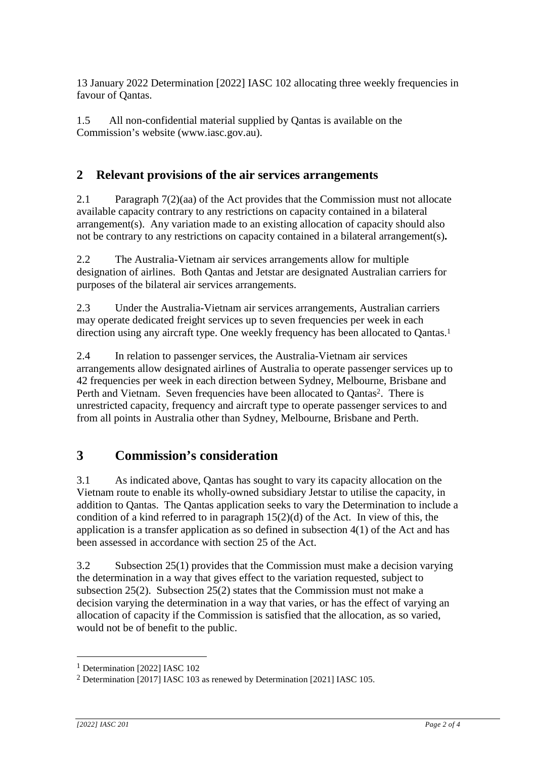13 January 2022 Determination [2022] IASC 102 allocating three weekly frequencies in favour of Qantas.

1.5 All non-confidential material supplied by Qantas is available on the Commission's website [\(www.iasc.gov.au\)](http://www.iasc.gov.au/).

## **2 Relevant provisions of the air services arrangements**

2.1 Paragraph 7(2)(aa) of the Act provides that the Commission must not allocate available capacity contrary to any restrictions on capacity contained in a bilateral arrangement(s). Any variation made to an existing allocation of capacity should also not be contrary to any restrictions on capacity contained in a bilateral arrangement(s)**.**

2.2 The Australia-Vietnam air services arrangements allow for multiple designation of airlines. Both Qantas and Jetstar are designated Australian carriers for purposes of the bilateral air services arrangements.

2.3 Under the Australia-Vietnam air services arrangements, Australian carriers may operate dedicated freight services up to seven frequencies per week in each direction using any aircraft type. One weekly frequency has been allocated to Qantas.<sup>1</sup>

2.4 In relation to passenger services, the Australia-Vietnam air services arrangements allow designated airlines of Australia to operate passenger services up to 42 frequencies per week in each direction between Sydney, Melbourne, Brisbane and Perth and Vietnam. Seven frequencies have been allocated to Qantas<sup>2</sup>. There is unrestricted capacity, frequency and aircraft type to operate passenger services to and from all points in Australia other than Sydney, Melbourne, Brisbane and Perth.

## **3 Commission's consideration**

3.1 As indicated above, Qantas has sought to vary its capacity allocation on the Vietnam route to enable its wholly-owned subsidiary Jetstar to utilise the capacity, in addition to Qantas. The Qantas application seeks to vary the Determination to include a condition of a kind referred to in paragraph  $15(2)(d)$  of the Act. In view of this, the application is a transfer application as so defined in subsection 4(1) of the Act and has been assessed in accordance with section 25 of the Act.

3.2 Subsection 25(1) provides that the Commission must make a decision varying the determination in a way that gives effect to the variation requested, subject to subsection 25(2). Subsection 25(2) states that the Commission must not make a decision varying the determination in a way that varies, or has the effect of varying an allocation of capacity if the Commission is satisfied that the allocation, as so varied, would not be of benefit to the public.

1

<sup>1</sup> Determination [2022] IASC 102

<sup>2</sup> Determination [2017] IASC 103 as renewed by Determination [2021] IASC 105.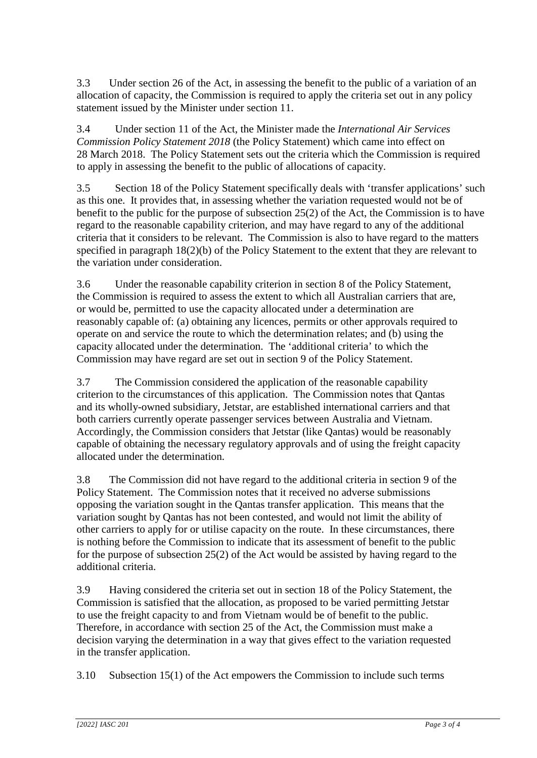3.3 Under section 26 of the Act, in assessing the benefit to the public of a variation of an allocation of capacity, the Commission is required to apply the criteria set out in any policy statement issued by the Minister under section 11.

3.4 Under section 11 of the Act, the Minister made the *International Air Services Commission Policy Statement 2018* (the Policy Statement) which came into effect on 28 March 2018. The Policy Statement sets out the criteria which the Commission is required to apply in assessing the benefit to the public of allocations of capacity.

3.5 Section 18 of the Policy Statement specifically deals with 'transfer applications' such as this one. It provides that, in assessing whether the variation requested would not be of benefit to the public for the purpose of subsection 25(2) of the Act, the Commission is to have regard to the reasonable capability criterion, and may have regard to any of the additional criteria that it considers to be relevant. The Commission is also to have regard to the matters specified in paragraph 18(2)(b) of the Policy Statement to the extent that they are relevant to the variation under consideration.

3.6 Under the reasonable capability criterion in section 8 of the Policy Statement, the Commission is required to assess the extent to which all Australian carriers that are, or would be, permitted to use the capacity allocated under a determination are reasonably capable of: (a) obtaining any licences, permits or other approvals required to operate on and service the route to which the determination relates; and (b) using the capacity allocated under the determination. The 'additional criteria' to which the Commission may have regard are set out in section 9 of the Policy Statement.

3.7 The Commission considered the application of the reasonable capability criterion to the circumstances of this application. The Commission notes that Qantas and its wholly-owned subsidiary, Jetstar, are established international carriers and that both carriers currently operate passenger services between Australia and Vietnam. Accordingly, the Commission considers that Jetstar (like Qantas) would be reasonably capable of obtaining the necessary regulatory approvals and of using the freight capacity allocated under the determination.

3.8 The Commission did not have regard to the additional criteria in section 9 of the Policy Statement. The Commission notes that it received no adverse submissions opposing the variation sought in the Qantas transfer application. This means that the variation sought by Qantas has not been contested, and would not limit the ability of other carriers to apply for or utilise capacity on the route. In these circumstances, there is nothing before the Commission to indicate that its assessment of benefit to the public for the purpose of subsection 25(2) of the Act would be assisted by having regard to the additional criteria.

3.9 Having considered the criteria set out in section 18 of the Policy Statement, the Commission is satisfied that the allocation, as proposed to be varied permitting Jetstar to use the freight capacity to and from Vietnam would be of benefit to the public. Therefore, in accordance with section 25 of the Act, the Commission must make a decision varying the determination in a way that gives effect to the variation requested in the transfer application.

3.10 Subsection 15(1) of the Act empowers the Commission to include such terms